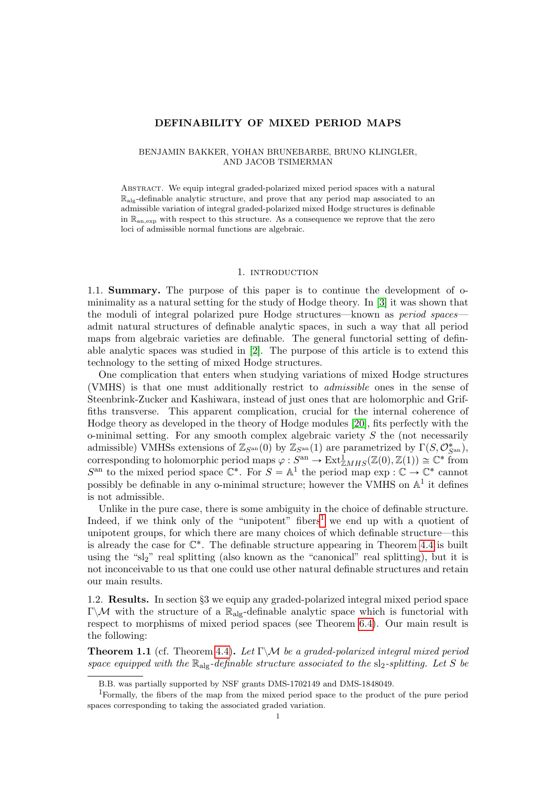### DEFINABILITY OF MIXED PERIOD MAPS

### BENJAMIN BAKKER, YOHAN BRUNEBARBE, BRUNO KLINGLER, AND JACOB TSIMERMAN

Abstract. We equip integral graded-polarized mixed period spaces with a natural  $\mathbb{R}_{\text{alg}}$ -definable analytic structure, and prove that any period map associated to an admissible variation of integral graded-polarized mixed Hodge structures is definable in Ran,exp with respect to this structure. As a consequence we reprove that the zero loci of admissible normal functions are algebraic.

### 1. INTRODUCTION

1.1. Summary. The purpose of this paper is to continue the development of ominimality as a natural setting for the study of Hodge theory. In [\[3\]](#page-14-0) it was shown that the moduli of integral polarized pure Hodge structures—known as period spaces admit natural structures of definable analytic spaces, in such a way that all period maps from algebraic varieties are definable. The general functorial setting of definable analytic spaces was studied in [\[2\]](#page-14-1). The purpose of this article is to extend this technology to the setting of mixed Hodge structures.

One complication that enters when studying variations of mixed Hodge structures (VMHS) is that one must additionally restrict to admissible ones in the sense of Steenbrink-Zucker and Kashiwara, instead of just ones that are holomorphic and Griffiths transverse. This apparent complication, crucial for the internal coherence of Hodge theory as developed in the theory of Hodge modules [\[20\]](#page-14-2), fits perfectly with the o-minimal setting. For any smooth complex algebraic variety  $S$  the (not necessarily admissible) VMHSs extensions of  $\mathbb{Z}_{S^{an}}(0)$  by  $\mathbb{Z}_{S^{an}}(1)$  are parametrized by  $\Gamma(S, \mathcal{O}^*_{S^{an}})$ , corresponding to holomorphic period maps  $\varphi: S^{an} \to \text{Ext}^1_{\mathbb{Z}MHS}(\mathbb{Z}(0), \mathbb{Z}(1)) \cong \mathbb{C}^*$  from  $S^{an}$  to the mixed period space  $\mathbb{C}^*$ . For  $S = \mathbb{A}^1$  the period map  $\exp : \mathbb{C} \to \mathbb{C}^*$  cannot possibly be definable in any o-minimal structure; however the VMHS on  $\mathbb{A}^1$  it defines is not admissible.

Unlike in the pure case, there is some ambiguity in the choice of definable structure. Indeed, if we think only of the "unipotent" fibers<sup>[1](#page-0-0)</sup> we end up with a quotient of unipotent groups, for which there are many choices of which definable structure—this is already the case for  $\mathbb{C}^*$ . The definable structure appearing in Theorem [4.4](#page-9-0) is built using the "sl<sub>2</sub>" real splitting (also known as the "canonical" real splitting), but it is not inconceivable to us that one could use other natural definable structures and retain our main results.

1.2. Results. In section §3 we equip any graded-polarized integral mixed period space Γ $\mathcal{M}$  with the structure of a  $\mathbb{R}_{\text{alg}}$ -definable analytic space which is functorial with respect to morphisms of mixed period spaces (see Theorem [6.4\)](#page-12-0). Our main result is the following:

**Theorem 1.1** (cf. Theorem [4.4\)](#page-9-0). Let  $\Gamma \backslash \mathcal{M}$  be a graded-polarized integral mixed period space equipped with the  $\mathbb{R}_{\text{alg}}$ -definable structure associated to the sl<sub>2</sub>-splitting. Let S be

<span id="page-0-0"></span>B.B. was partially supported by NSF grants DMS-1702149 and DMS-1848049.

<sup>1</sup>Formally, the fibers of the map from the mixed period space to the product of the pure period spaces corresponding to taking the associated graded variation.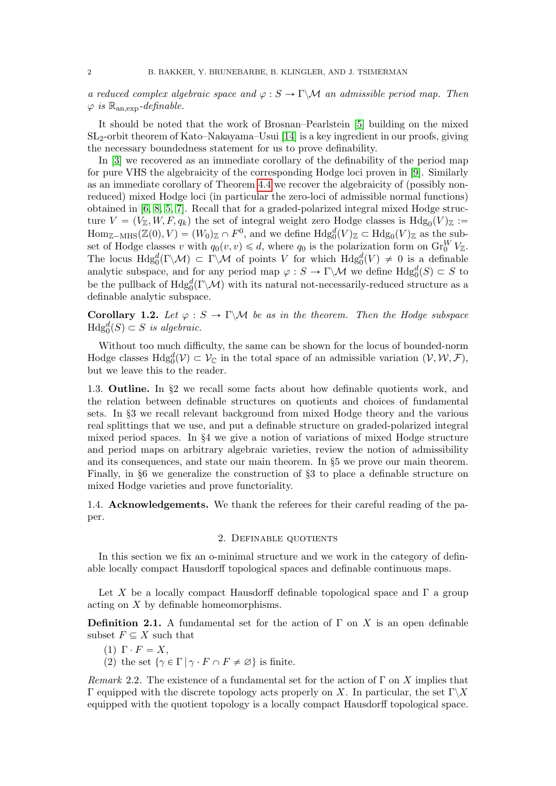a reduced complex algebraic space and  $\varphi : S \to \Gamma \backslash \mathcal{M}$  an admissible period map. Then  $\varphi$  is  $\mathbb{R}_{\text{an,exp}}$ -definable.

It should be noted that the work of Brosnan–Pearlstein [\[5\]](#page-14-3) building on the mixed SL2-orbit theorem of Kato–Nakayama–Usui [\[14\]](#page-14-4) is a key ingredient in our proofs, giving the necessary boundedness statement for us to prove definability.

In [\[3\]](#page-14-0) we recovered as an immediate corollary of the definability of the period map for pure VHS the algebraicity of the corresponding Hodge loci proven in [\[9\]](#page-14-5). Similarly as an immediate corollary of Theorem [4.4](#page-9-0) we recover the algebraicity of (possibly nonreduced) mixed Hodge loci (in particular the zero-loci of admissible normal functions) obtained in [\[6,](#page-14-6) [8,](#page-14-7) [5,](#page-14-3) [7\]](#page-14-8). Recall that for a graded-polarized integral mixed Hodge structure  $V = (V_{\mathbb{Z}}, W, F, q_k)$  the set of integral weight zero Hodge classes is  $Hdg_0(V)_{\mathbb{Z}} :=$  $\text{Hom}_{\mathbb{Z}-\text{MHS}}(\mathbb{Z}(0), V) = (W_0)_{\mathbb{Z}} \cap F^0$ , and we define  $\text{Hdg}_0^d(V)_{\mathbb{Z}} \subset \text{Hdg}_0(V)_{\mathbb{Z}}$  as the subset of Hodge classes v with  $q_0(v, v) \le d$ , where  $q_0$  is the polarization form on  $\text{Gr}_{0}^{W}V_{\mathbb{Z}}$ . The locus  $Hdg_0^d(\Gamma \backslash \mathcal{M}) \subset \Gamma \backslash \mathcal{M}$  of points V for which  $Hdg_0^d(V) \neq 0$  is a definable analytic subspace, and for any period map  $\varphi : S \to \Gamma \backslash \mathcal{M}$  we define  $Hdg_0^d(S) \subset S$  to be the pullback of  $Hdg_0^d(\Gamma \backslash \mathcal{M})$  with its natural not-necessarily-reduced structure as a definable analytic subspace.

Corollary 1.2. Let  $\varphi : S \to \Gamma \backslash \mathcal{M}$  be as in the theorem. Then the Hodge subspace  $\text{Hdg}_0^d(S) \subset S$  is algebraic.

Without too much difficulty, the same can be shown for the locus of bounded-norm Hodge classes  $Hdg_0^d(V) \subset V_{\mathbb{C}}$  in the total space of an admissible variation  $(V, W, \mathcal{F}),$ but we leave this to the reader.

1.3. Outline. In §2 we recall some facts about how definable quotients work, and the relation between definable structures on quotients and choices of fundamental sets. In §3 we recall relevant background from mixed Hodge theory and the various real splittings that we use, and put a definable structure on graded-polarized integral mixed period spaces. In §4 we give a notion of variations of mixed Hodge structure and period maps on arbitrary algebraic varieties, review the notion of admissibility and its consequences, and state our main theorem. In §5 we prove our main theorem. Finally, in §6 we generalize the construction of §3 to place a definable structure on mixed Hodge varieties and prove functoriality.

1.4. Acknowledgements. We thank the referees for their careful reading of the paper.

### 2. Definable quotients

In this section we fix an o-minimal structure and we work in the category of definable locally compact Hausdorff topological spaces and definable continuous maps.

Let X be a locally compact Hausdorff definable topological space and  $\Gamma$  a group acting on X by definable homeomorphisms.

**Definition 2.1.** A fundamental set for the action of  $\Gamma$  on X is an open definable subset  $F \subseteq X$  such that

- (1)  $\Gamma \cdot F = X$ ,
- (2) the set  $\{\gamma \in \Gamma \mid \gamma \cdot F \cap F \neq \emptyset\}$  is finite.

Remark 2.2. The existence of a fundamental set for the action of  $\Gamma$  on X implies that Γ equipped with the discrete topology acts properly on X. In particular, the set Γ $\chi$ X equipped with the quotient topology is a locally compact Hausdorff topological space.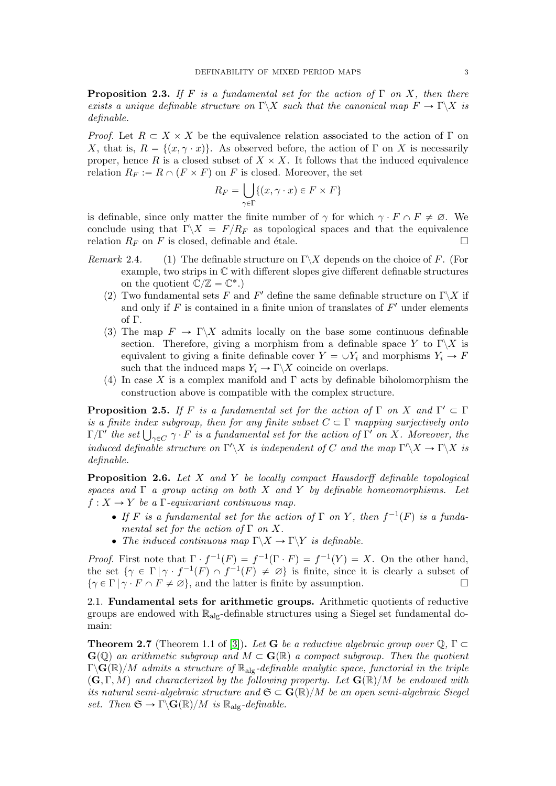<span id="page-2-0"></span>**Proposition 2.3.** If F is a fundamental set for the action of  $\Gamma$  on X, then there exists a unique definable structure on  $\Gamma \backslash X$  such that the canonical map  $F \to \Gamma \backslash X$  is definable.

*Proof.* Let  $R \subset X \times X$  be the equivalence relation associated to the action of Γ on X, that is,  $R = \{(x, \gamma \cdot x)\}\$ . As observed before, the action of Γ on X is necessarily proper, hence R is a closed subset of  $X \times X$ . It follows that the induced equivalence relation  $R_F := R \cap (F \times F)$  on F is closed. Moreover, the set

$$
R_F = \bigcup_{\gamma \in \Gamma} \{ (x, \gamma \cdot x) \in F \times F \}
$$

is definable, since only matter the finite number of  $\gamma$  for which  $\gamma \cdot F \cap F \neq \emptyset$ . We conclude using that  $\Gamma \backslash X = F/R_F$  as topological spaces and that the equivalence relation  $R_F$  on F is closed, definable and étale.

- Remark 2.4. (1) The definable structure on  $\Gamma \backslash X$  depends on the choice of F. (For example, two strips in C with different slopes give different definable structures on the quotient  $\mathbb{C}/\mathbb{Z} = \mathbb{C}^*$ .)
	- (2) Two fundamental sets F and F' define the same definable structure on  $\Gamma\backslash X$  if and only if  $F$  is contained in a finite union of translates of  $F'$  under elements of Γ.
	- (3) The map  $F \to \Gamma \backslash X$  admits locally on the base some continuous definable section. Therefore, giving a morphism from a definable space Y to  $\Gamma \backslash X$  is equivalent to giving a finite definable cover  $Y = \bigcup Y_i$  and morphisms  $Y_i \to F$ such that the induced maps  $Y_i \to \Gamma \backslash X$  coincide on overlaps.
	- (4) In case X is a complex manifold and Γ acts by definable biholomorphism the construction above is compatible with the complex structure.

**Proposition 2.5.** If F is a fundamental set for the action of  $\Gamma$  on X and  $\Gamma' \subset \Gamma$ is a finite index subgroup, then for any finite subset  $C \subset \Gamma$  mapping surjectively onto is a finite index subgroup, then for any finite subset  $C \subset \Gamma$  mapping surjectively onto  $\Gamma/\Gamma'$  the set  $\bigcup_{\gamma \in C} \gamma \cdot F$  is a fundamental set for the action of  $\Gamma'$  on X. Moreover, the induced definable structure on  $\Gamma' \backslash X$  is independent of C and the map  $\Gamma' \backslash X \to \Gamma \backslash X$  is definable.

<span id="page-2-1"></span>**Proposition 2.6.** Let  $X$  and  $Y$  be locally compact Hausdorff definable topological spaces and  $\Gamma$  a group acting on both X and Y by definable homeomorphisms. Let  $f: X \to Y$  be a Γ-equivariant continuous map.

- If F is a fundamental set for the action of  $\Gamma$  on Y, then  $f^{-1}(F)$  is a fundamental set for the action of  $\Gamma$  on X.
- The induced continuous map  $\Gamma \backslash X \to \Gamma \backslash Y$  is definable.

*Proof.* First note that  $\Gamma \cdot f^{-1}(F) = f^{-1}(\Gamma \cdot F) = f^{-1}(Y) = X$ . On the other hand, the set  $\{\gamma \in \Gamma \mid \gamma \cdot f^{-1}(F) \cap f^{-1}(F) \neq \emptyset\}$  is finite, since it is clearly a subset of  $\{\gamma \in \Gamma \mid \gamma \cdot F \cap F \neq \emptyset\}$ , and the latter is finite by assumption.

2.1. Fundamental sets for arithmetic groups. Arithmetic quotients of reductive groups are endowed with Ralg-definable structures using a Siegel set fundamental domain:

<span id="page-2-2"></span>**Theorem 2.7** (Theorem 1.1 of [\[3\]](#page-14-0)). Let **G** be a reductive algebraic group over  $\mathbb{Q}, \Gamma \subset \mathbb{R}$  $\mathbf{G}(\mathbb{Q})$  an arithmetic subgroup and  $M \subset \mathbf{G}(\mathbb{R})$  a compact subgroup. Then the quotient  $\Gamma\backslash\mathbf{G}(\mathbb{R})/M$  admits a structure of  $\mathbb{R}_{\mathrm{alg}}$ -definable analytic space, functorial in the triple  $\mathbf{G}, \Gamma, M$  and characterized by the following property. Let  $\mathbf{G}(\mathbb{R})/M$  be endowed with its natural semi-algebraic structure and  $\mathfrak{S} \subset \mathbf{G}(\mathbb{R})/M$  be an open semi-algebraic Siegel set. Then  $\mathfrak{S} \to \Gamma \backslash \mathbf{G}(\mathbb{R})/M$  is  $\mathbb{R}_{\text{alg}}$ -definable.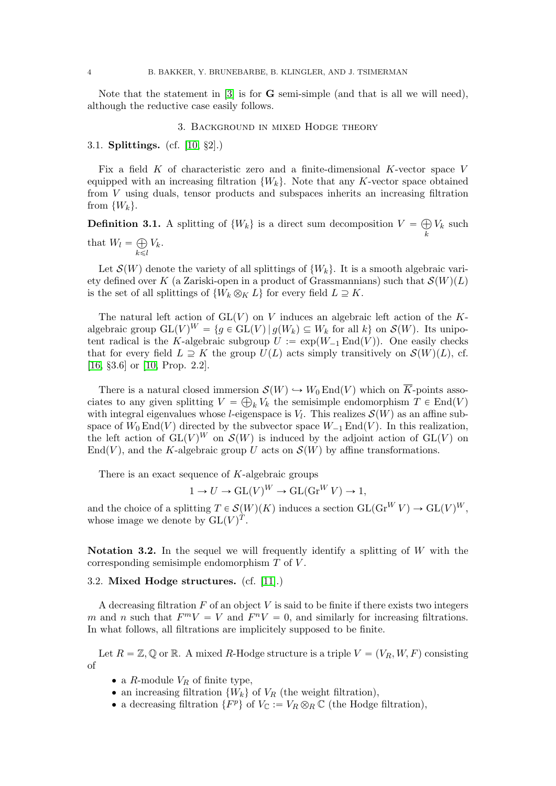Note that the statement in  $[3]$  is for **G** semi-simple (and that is all we will need), although the reductive case easily follows.

### 3. Background in mixed Hodge theory

#### <span id="page-3-0"></span>3.1. Splittings. (cf. [\[10,](#page-14-9) §2].)

 $k\leq l$ 

Fix a field  $K$  of characteristic zero and a finite-dimensional  $K$ -vector space  $V$ equipped with an increasing filtration  $\{W_k\}$ . Note that any K-vector space obtained from V using duals, tensor products and subspaces inherits an increasing filtration from  $\{W_k\}$ .

**Definition 3.1.** A splitting of  $\{W_k\}$  is a direct sum decomposition  $V =$ k  $V_k$  such that  $W_l =$  $V_k$ .

Let  $\mathcal{S}(W)$  denote the variety of all splittings of  $\{W_k\}$ . It is a smooth algebraic variety defined over K (a Zariski-open in a product of Grassmannians) such that  $\mathcal{S}(W)(L)$ is the set of all splittings of  $\{W_k \otimes_K L\}$  for every field  $L \supseteq K$ .

The natural left action of  $GL(V)$  on V induces an algebraic left action of the Kalgebraic group  $GL(V)^W = \{g \in GL(V) \mid g(W_k) \subseteq W_k \text{ for all } k\}$  on  $\mathcal{S}(W)$ . Its unipotent radical is the K-algebraic subgroup  $U := \exp(W_{-1} \text{End}(V))$ . One easily checks that for every field  $L \supseteq K$  the group  $U(L)$  acts simply transitively on  $\mathcal{S}(W)(L)$ , cf. [\[16,](#page-14-10) §3.6] or [\[10,](#page-14-9) Prop. 2.2].

There is a natural closed immersion  $\mathcal{S}(W) \hookrightarrow W_0 \text{End}(V)$  which on K-points associates to any given splitting  $V = \bigoplus_k V_k$  the semisimple endomorphism  $T \in End(V)$ with integral eigenvalues whose *l*-eigenspace is  $V_l$ . This realizes  $\mathcal{S}(W)$  as an affine subspace of  $W_0 \text{End}(V)$  directed by the subvector space  $W_{-1} \text{End}(V)$ . In this realization, the left action of  $GL(V)^W$  on  $\mathcal{S}(W)$  is induced by the adjoint action of  $GL(V)$  on End(V), and the K-algebraic group U acts on  $\mathcal{S}(W)$  by affine transformations.

There is an exact sequence of  $K$ -algebraic groups

 $1 \to U \to GL(V)^W \to GL(\text{Gr}^W V) \to 1,$ 

and the choice of a splitting  $T \in \mathcal{S}(W)(K)$  induces a section  $GL(\text{Gr}^W V) \to GL(V)^W$ , whose image we denote by  $\mathrm{GL}(V)^{T}$ .

Notation 3.2. In the sequel we will frequently identify a splitting of  $W$  with the corresponding semisimple endomorphism T of V .

# 3.2. Mixed Hodge structures. (cf. [\[11\]](#page-14-11).)

A decreasing filtration  $F$  of an object  $V$  is said to be finite if there exists two integers m and n such that  $F^m V = V$  and  $F^n V = 0$ , and similarly for increasing filtrations. In what follows, all filtrations are implicitely supposed to be finite.

Let  $R = \mathbb{Z}, \mathbb{Q}$  or  $\mathbb{R}$ . A mixed R-Hodge structure is a triple  $V = (V_R, W, F)$  consisting of

- a R-module  $V_R$  of finite type,
- an increasing filtration  $\{W_k\}$  of  $V_R$  (the weight filtration),
- a decreasing filtration  $\{F^p\}$  of  $V_{\mathbb{C}} := V_R \otimes_R \mathbb{C}$  (the Hodge filtration),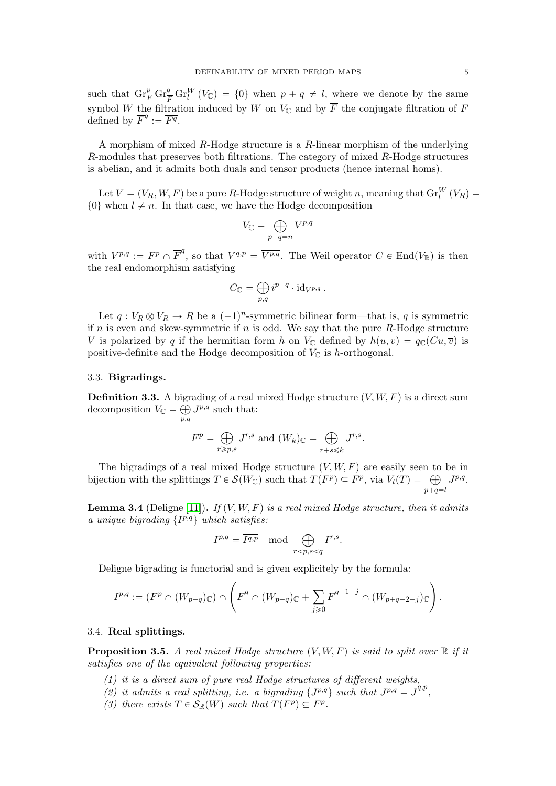such that  $\mathrm{Gr}_F^p \mathrm{Gr}_{\overline{F}}^q \mathrm{Gr}_l^W (V_{\mathbb{C}}) = \{0\}$  when  $p + q \neq l$ , where we denote by the same symbol W the filtration induced by W on  $V_{\mathbb{C}}$  and by  $\overline{F}$  the conjugate filtration of F defined by  $\overline{F}^q := \overline{F^q}$ .

A morphism of mixed R-Hodge structure is a R-linear morphism of the underlying R-modules that preserves both filtrations. The category of mixed R-Hodge structures is abelian, and it admits both duals and tensor products (hence internal homs).

Let  $V = (V_R, W, F)$  be a pure R-Hodge structure of weight n, meaning that  $\text{Gr}_{l}^W(V_R)$  =  $\{0\}$  when  $l \neq n$ . In that case, we have the Hodge decomposition à

$$
V_{\mathbb{C}} = \bigoplus_{p+q=n} V^{p,q}
$$

with  $V^{p,q} := F^p \cap \overline{F}^q$ , so that  $V^{q,p} = \overline{V^{p,q}}$ . The Weil operator  $C \in \text{End}(V_{\mathbb{R}})$  is then the real endomorphism satisfying

$$
C_{\mathbb{C}} = \bigoplus_{p,q} i^{p-q} \cdot \mathrm{id}_{V^{p,q}}.
$$

Let  $q: V_R \otimes V_R \to R$  be a  $(-1)^n$ -symmetric bilinear form—that is, q is symmetric if n is even and skew-symmetric if n is odd. We say that the pure  $R$ -Hodge structure V is polarized by q if the hermitian form h on  $V_{\mathbb{C}}$  defined by  $h(u, v) = q_{\mathbb{C}}(Cu, \overline{v})$  is positive-definite and the Hodge decomposition of  $V_{\mathbb{C}}$  is *h*-orthogonal.

# <span id="page-4-0"></span>3.3. Bigradings.

**Definition 3.3.** A bigrading of a real mixed Hodge structure  $(V, W, F)$  is a direct sum decomposition  $V_{\mathbb{C}} = \bigoplus_{p,q}$  $J^{p,q}$  such that:

$$
F^{p} = \bigoplus_{r \ge p,s} J^{r,s} \text{ and } (W_{k})_{\mathbb{C}} = \bigoplus_{r+s \le k} J^{r,s}.
$$

The bigradings of a real mixed Hodge structure  $(V, W, F)$  are easily seen to be in The bigradings of a real mixed Hodge structure  $(V, W, F)$  are easily seen to bijection with the splittings  $T \in \mathcal{S}(W_{\mathbb{C}})$  such that  $T(F^p) \subseteq F^p$ , via  $V_l(T) = \bigoplus$  $p+q=l$  $J^{p,q}.$ 

**Lemma 3.4** (Deligne [\[11\]](#page-14-11)). If  $(V, W, F)$  is a real mixed Hodge structure, then it admits a unique bigrading  $\{I^{p,q}\}\$  which satisfies:

$$
I^{p,q} = \overline{I^{q,p}} \mod \bigoplus_{r < p,s < q} I^{r,s}.
$$

Deligne bigrading is functorial and is given explicitely by the formula:

$$
I^{p,q} := (F^p \cap (W_{p+q})_{\mathbb{C}}) \cap \left( \overline{F}^q \cap (W_{p+q})_{\mathbb{C}} + \sum_{j \geqslant 0} \overline{F}^{q-1-j} \cap (W_{p+q-2-j})_{\mathbb{C}} \right).
$$

#### 3.4. Real splittings.

**Proposition 3.5.** A real mixed Hodge structure  $(V, W, F)$  is said to split over R if it satisfies one of the equivalent following properties:

- $(1)$  it is a direct sum of pure real Hodge structures of different weights,
- (2) it admits a real splitting, i.e. a bigrading  $\{J^{p,q}\}\text{ such that }J^{p,q}=\overline{J}^{q,p}$ ,
- (3) there exists  $T \in \mathcal{S}_{\mathbb{R}}(W)$  such that  $T(F^p) \subseteq F^p$ .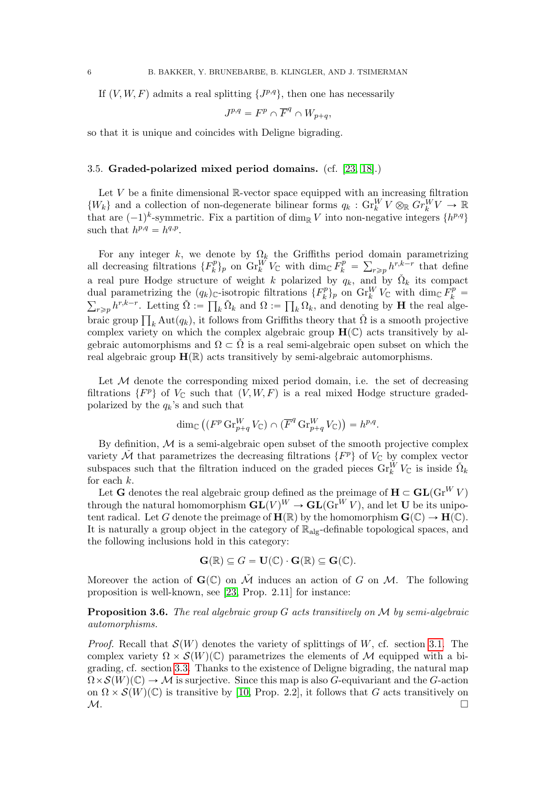If  $(V, W, F)$  admits a real splitting  $\{J^{p,q}\},\$  then one has necessarily

$$
J^{p,q} = F^p \cap \overline{F}^q \cap W_{p+q},
$$

so that it is unique and coincides with Deligne bigrading.

### <span id="page-5-0"></span>3.5. Graded-polarized mixed period domains. (cf. [\[23,](#page-15-0) [18\]](#page-14-12).)

Let  $V$  be a finite dimensional  $\mathbb{R}$ -vector space equipped with an increasing filtration  $\{W_k\}$  and a collection of non-degenerate bilinear forms  $q_k$ :  $\text{Gr}_k^W V \otimes_{\mathbb{R}} Gr_k^W V \to \mathbb{R}$ that are  $(-1)^k$ -symmetric. Fix a partition of dim<sub>R</sub> V into non-negative integers  $\{h^{p,q}\}$ such that  $h^{p,q} = h^{q,p}$ .

For any integer k, we denote by  $\Omega_k$  the Griffiths period domain parametrizing all decreasing filtrations  $\{F_k^p\}$  $\int_k^p$  on  $\operatorname{Gr}_k^W V_{\mathbb C}$  with  $\dim_{\mathbb C} \tilde F_k^p =$  $\overline{\phantom{a}}$  $r \geq p h^{r,k-r}$  that define a real pure Hodge structure of weight k polarized by  $q_k$ , and by  $\check{\Omega}_k$  its compact dual parametrizing the  $(q_k)_{\mathbb{C}}$ -isotropic filtrations  $\{F_k^p\}$ dual parametrizing the  $(q_k)_{\mathbb{C}}$ -isotropic filtrations  $\{F_k^p\}_p$  on  $\text{Gr}_k^W V_{\mathbb{C}}$  with  $\dim_{\mathbb{C}} \tilde{F_k}^p =$ al parametrizing the  $(q_k)_{\mathbb{C}}$ -isotropic filtri<br>  $r_{\geq p} h^{r,k-r}$ . Letting  $\check{\Omega} := \prod_k \check{\Omega}_k$  and  $\Omega :=$  $ttR$  $_{k}\Omega_{k}$ , and denoting by **H** the real alge- $\sum_{r \geq p} n^{r}$ . Letting  $\Omega := \prod_k \Omega_k$  and  $\Omega := \prod_k \Omega_k$ , and denoting by **H** the real algebraic group  $\prod_k \text{Aut}(q_k)$ , it follows from Griffiths theory that  $\tilde{\Omega}$  is a smooth projective complex variety on which the complex algebraic group  $H(\mathbb{C})$  acts transitively by algebraic automorphisms and  $\Omega \subset \tilde{\Omega}$  is a real semi-algebraic open subset on which the real algebraic group  $\mathbf{H}(\mathbb{R})$  acts transitively by semi-algebraic automorphisms.

Let  $M$  denote the corresponding mixed period domain, i.e. the set of decreasing filtrations  $\{F^p\}$  of  $V_{\mathbb{C}}$  such that  $(V, W, F)$  is a real mixed Hodge structure gradedpolarized by the  $q_k$ 's and such that

$$
\dim_{\mathbb{C}}\left( (F^p \operatorname{Gr}_{p+q}^W V_{\mathbb{C}}) \cap (\overline{F}^q \operatorname{Gr}_{p+q}^W V_{\mathbb{C}}) \right) = h^{p,q}.
$$

By definition,  $M$  is a semi-algebraic open subset of the smooth projective complex variety  $\check{\mathcal{M}}$  that parametrizes the decreasing filtrations  $\{F^p\}$  of  $V_{\mathbb{C}}$  by complex vector subspaces such that the filtration induced on the graded pieces  $\operatorname{Gr}_k^W V_{\mathbb{C}}$  is inside  $\check{\Omega}_k$ for each k.

Let **G** denotes the real algebraic group defined as the preimage of  $H \subset GL(\mathrm{Gr}^W V)$ through the natural homomorphism  $GL(V)^W \to GL(\text{Gr}^W V)$ , and let U be its unipotent radical. Let G denote the preimage of  $\mathbf{H}(\mathbb{R})$  by the homomorphism  $\mathbf{G}(\mathbb{C}) \to \mathbf{H}(\mathbb{C})$ . It is naturally a group object in the category of  $\mathbb{R}_{\text{alg}}$ -definable topological spaces, and the following inclusions hold in this category:

$$
\mathbf{G}(\mathbb{R}) \subseteq G = \mathbf{U}(\mathbb{C}) \cdot \mathbf{G}(\mathbb{R}) \subseteq \mathbf{G}(\mathbb{C}).
$$

Moreover the action of  $\mathbf{G}(\mathbb{C})$  on  $\check{\mathcal{M}}$  induces an action of G on M. The following proposition is well-known, see [\[23,](#page-15-0) Prop. 2.11] for instance:

**Proposition 3.6.** The real algebraic group  $G$  acts transitively on  $M$  by semi-algebraic automorphisms.

*Proof.* Recall that  $\mathcal{S}(W)$  denotes the variety of splittings of W, cf. section [3.1.](#page-3-0) The complex variety  $\Omega \times \mathcal{S}(W)(\mathbb{C})$  parametrizes the elements of M equipped with a bigrading, cf. section [3.3.](#page-4-0) Thanks to the existence of Deligne bigrading, the natural map  $\Omega \times \mathcal{S}(W)(\mathbb{C}) \to \mathcal{M}$  is surjective. Since this map is also G-equivariant and the G-action on  $\Omega \times \mathcal{S}(W)(\mathbb{C})$  is transitive by [\[10,](#page-14-9) Prop. 2.2], it follows that G acts transitively on  $M$ .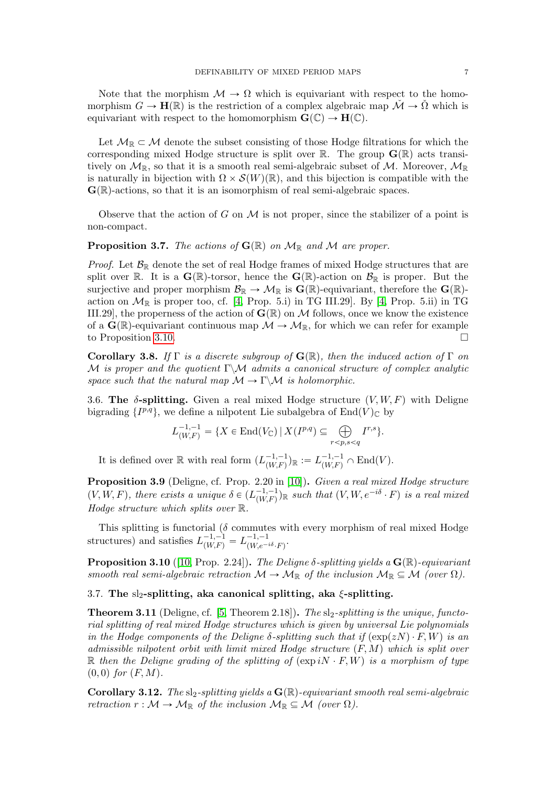Note that the morphism  $\mathcal{M} \to \Omega$  which is equivariant with respect to the homomorphism  $G \to \mathbf{H}(\mathbb{R})$  is the restriction of a complex algebraic map  $\mathcal{M} \to \Omega$  which is equivariant with respect to the homomorphism  $\mathbf{G}(\mathbb{C}) \to \mathbf{H}(\mathbb{C})$ .

Let  $\mathcal{M}_{\mathbb{R}} \subset \mathcal{M}$  denote the subset consisting of those Hodge filtrations for which the corresponding mixed Hodge structure is split over  $\mathbb{R}$ . The group  $\mathbf{G}(\mathbb{R})$  acts transitively on  $\mathcal{M}_{\mathbb{R}}$ , so that it is a smooth real semi-algebraic subset of M. Moreover,  $\mathcal{M}_{\mathbb{R}}$ is naturally in bijection with  $\Omega \times \mathcal{S}(W)(\mathbb{R})$ , and this bijection is compatible with the  $\mathbf{G}(\mathbb{R})$ -actions, so that it is an isomorphism of real semi-algebraic spaces.

Observe that the action of G on M is not proper, since the stabilizer of a point is non-compact.

**Proposition 3.7.** The actions of  $\mathbf{G}(\mathbb{R})$  on  $\mathcal{M}_{\mathbb{R}}$  and  $\mathcal{M}$  are proper.

*Proof.* Let  $\mathcal{B}_{\mathbb{R}}$  denote the set of real Hodge frames of mixed Hodge structures that are split over R. It is a  $\mathbf{G}(\mathbb{R})$ -torsor, hence the  $\mathbf{G}(\mathbb{R})$ -action on  $\mathcal{B}_{\mathbb{R}}$  is proper. But the surjective and proper morphism  $\mathcal{B}_{\mathbb{R}} \to \mathcal{M}_{\mathbb{R}}$  is  $\mathbf{G}(\mathbb{R})$ -equivariant, therefore the  $\mathbf{G}(\mathbb{R})$ action on  $\mathcal{M}_{\mathbb{R}}$  is proper too, cf. [\[4,](#page-14-13) Prop. 5.i) in TG III.29]. By [4, Prop. 5.ii) in TG III.29], the properness of the action of  $\mathbf{G}(\mathbb{R})$  on M follows, once we know the existence of a  $\mathbf{G}(\mathbb{R})$ -equivariant continuous map  $\mathcal{M} \to \mathcal{M}_{\mathbb{R}}$ , for which we can refer for example to Proposition [3.10.](#page-6-0)

Corollary 3.8. If Γ is a discrete subgroup of  $\mathbf{G}(\mathbb{R})$ , then the induced action of Γ on M is proper and the quotient  $\Gamma\backslash\mathcal{M}$  admits a canonical structure of complex analytic space such that the natural map  $\mathcal{M} \to \Gamma \backslash \mathcal{M}$  is holomorphic.

3.6. The  $\delta$ -splitting. Given a real mixed Hodge structure  $(V, W, F)$  with Deligne bigrading  $\{I^{p,q}\},\$  we define a nilpotent Lie subalgebra of  $\text{End}(V)_{\mathbb{C}}$  by

$$
L_{(W,F)}^{-1,-1} = \{ X \in \text{End}(V_{\mathbb{C}}) \, | \, X(I^{p,q}) \subseteq \bigoplus_{r < p,s < q} I^{r,s} \}.
$$

It is defined over  $\mathbb R$  with real form  $(L_{(WE)}^{-1,-1})$  $\binom{-1,-1}{(W,F)}$   $\mathbb{R} := L^{-1,-1}_{(W,F)} \cap \text{End}(V)$ .

Proposition 3.9 (Deligne, cf. Prop. 2.20 in [\[10\]](#page-14-9)). Given a real mixed Hodge structure  $(V, W, F)$ , there exists a unique  $\delta \in (L_{(W, F)}^{-1, -1})$  $\binom{-1,-1}{(W,F)}$  is a real mixed Hodge structure which splits over  $\mathbb R$ .

This splitting is functorial ( $\delta$  commutes with every morphism of real mixed Hodge structures) and satisfies  $L^{-1,-1}_{(W,F)} = L^{-1,-1}_{(W,e^{-})}$  $\overline{W}(W_{e}e^{-i\delta}\cdot F)$ .

<span id="page-6-0"></span>**Proposition 3.10** ([\[10,](#page-14-9) Prop. 2.24]). The Deligne  $\delta$ -splitting yields a  $\mathbf{G}(\mathbb{R})$ -equivariant smooth real semi-algebraic retraction  $\mathcal{M} \to \mathcal{M}_{\mathbb{R}}$  of the inclusion  $\mathcal{M}_{\mathbb{R}} \subseteq \mathcal{M}$  (over  $\Omega$ ).

# 3.7. The sl<sub>2</sub>-splitting, aka canonical splitting, aka  $\xi$ -splitting.

**Theorem 3.11** (Deligne, cf. [\[5,](#page-14-3) Theorem 2.18]). The sl<sub>2</sub>-splitting is the unique, functorial splitting of real mixed Hodge structures which is given by universal Lie polynomials in the Hodge components of the Deligne  $\delta$ -splitting such that if  $(\exp(zN) \cdot F, W)$  is an admissible nilpotent orbit with limit mixed Hodge structure  $(F, M)$  which is split over R then the Deligne grading of the splitting of  $(\exp iN \cdot F, W)$  is a morphism of type  $(0, 0)$  for  $(F, M)$ .

**Corollary 3.12.** The sl<sub>2</sub>-splitting yields a  $\mathbf{G}(\mathbb{R})$ -equivariant smooth real semi-algebraic retraction  $r : \mathcal{M} \to \mathcal{M}_{\mathbb{R}}$  of the inclusion  $\mathcal{M}_{\mathbb{R}} \subseteq \mathcal{M}$  (over  $\Omega$ ).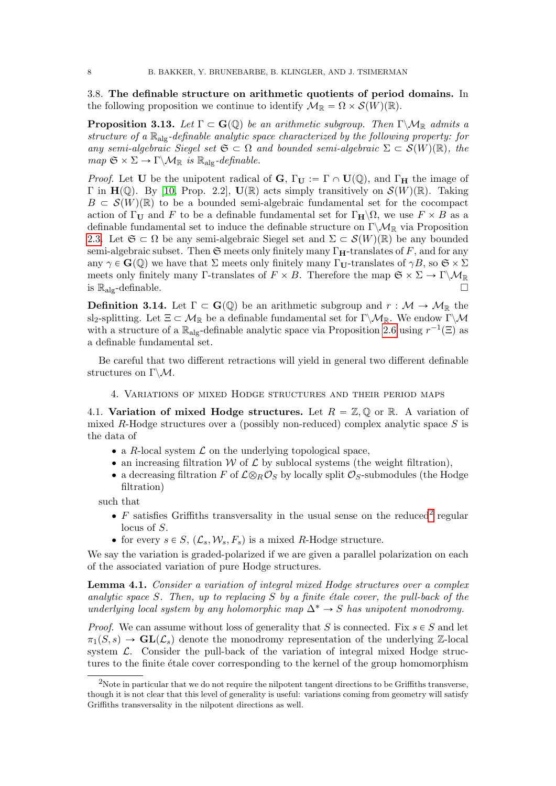<span id="page-7-1"></span>3.8. The definable structure on arithmetic quotients of period domains. In the following proposition we continue to identify  $\mathcal{M}_{\mathbb{R}} = \Omega \times \mathcal{S}(W)(\mathbb{R})$ .

<span id="page-7-4"></span>**Proposition 3.13.** Let  $\Gamma \subset \mathbf{G}(\mathbb{Q})$  be an arithmetic subgroup. Then  $\Gamma \backslash \mathcal{M}_{\mathbb{R}}$  admits a structure of a  $\mathbb{R}_{\text{alg}}$ -definable analytic space characterized by the following property: for any semi-algebraic Siegel set  $\mathfrak{S} \subset \Omega$  and bounded semi-algebraic  $\Sigma \subset \mathcal{S}(W)(\mathbb{R})$ , the  $map \ \mathfrak{S} \times \Sigma \to \Gamma \backslash \mathcal{M}_{\mathbb{R}}$  is  $\mathbb{R}_{\text{alg}}\text{-}definable.$ 

*Proof.* Let U be the unipotent radical of G,  $\Gamma_{\mathbf{U}} := \Gamma \cap \mathbf{U}(\mathbb{Q})$ , and  $\Gamma_{\mathbf{H}}$  the image of  $\Gamma$  in  $H(\mathbb{Q})$ . By [\[10,](#page-14-9) Prop. 2.2],  $U(\mathbb{R})$  acts simply transitively on  $\mathcal{S}(W)(\mathbb{R})$ . Taking  $B \subset \mathcal{S}(W)(\mathbb{R})$  to be a bounded semi-algebraic fundamental set for the cocompact action of  $\Gamma_U$  and F to be a definable fundamental set for  $\Gamma_H\backslash\Omega$ , we use  $F\times B$  as a definable fundamental set to induce the definable structure on  $\Gamma \backslash \mathcal{M}_{\mathbb{R}}$  via Proposition [2.3.](#page-2-0) Let  $\mathfrak{S} \subset \Omega$  be any semi-algebraic Siegel set and  $\Sigma \subset \mathcal{S}(W)(\mathbb{R})$  be any bounded semi-algebraic subset. Then  $\mathfrak S$  meets only finitely many  $\Gamma_{\mathbf H}$ -translates of F, and for any any  $\gamma \in \mathbf{G}(\mathbb{Q})$  we have that  $\Sigma$  meets only finitely many  $\Gamma_{\mathbf{U}}$ -translates of  $\gamma B$ , so  $\mathfrak{S} \times \Sigma$ meets only finitely many Γ-translates of  $F \times B$ . Therefore the map  $\mathfrak{S} \times \Sigma \to \Gamma \backslash \mathcal{M}_{\mathbb{R}}$ is  $\mathbb{R}_{\text{alg}}$ -definable.

<span id="page-7-3"></span>**Definition 3.14.** Let  $\Gamma \subset \mathbf{G}(\mathbb{Q})$  be an arithmetic subgroup and  $r : \mathcal{M} \to \mathcal{M}_{\mathbb{R}}$  the sl<sub>2</sub>-splitting. Let  $\Xi \subset \mathcal{M}_{\mathbb{R}}$  be a definable fundamental set for Γ $\setminus \mathcal{M}_{\mathbb{R}}$ . We endow Γ $\setminus \mathcal{M}$ with a structure of a  $\mathbb{R}_{\text{alg}}$ -definable analytic space via Proposition [2.6](#page-2-1) using  $r^{-1}(\Xi)$  as a definable fundamental set.

Be careful that two different retractions will yield in general two different definable structures on  $\Gamma \backslash \mathcal{M}$ .

4. Variations of mixed Hodge structures and their period maps

4.1. Variation of mixed Hodge structures. Let  $R = \mathbb{Z}, \mathbb{Q}$  or R. A variation of mixed R-Hodge structures over a (possibly non-reduced) complex analytic space  $S$  is the data of

- $\bullet$  a R-local system  $\mathcal L$  on the underlying topological space,
- an increasing filtration  $W$  of  $\mathcal L$  by sublocal systems (the weight filtration),
- a decreasing filtration F of  $\mathcal{L} \otimes_B \mathcal{O}_S$  by locally split  $\mathcal{O}_S$ -submodules (the Hodge filtration)

such that

- $F$  satisfies Griffiths transversality in the usual sense on the reduced<sup>[2](#page-7-0)</sup> regular locus of S.
- for every  $s \in S$ ,  $(\mathcal{L}_s, \mathcal{W}_s, F_s)$  is a mixed R-Hodge structure.

We say the variation is graded-polarized if we are given a parallel polarization on each of the associated variation of pure Hodge structures.

<span id="page-7-2"></span>Lemma 4.1. Consider a variation of integral mixed Hodge structures over a complex analytic space S. Then, up to replacing S by a finite étale cover, the pull-back of the underlying local system by any holomorphic map  $\Delta^* \to S$  has unipotent monodromy.

*Proof.* We can assume without loss of generality that S is connected. Fix  $s \in S$  and let  $\pi_1(S, s) \to \mathbf{GL}(\mathcal{L}_s)$  denote the monodromy representation of the underlying Z-local system  $\mathcal{L}$ . Consider the pull-back of the variation of integral mixed Hodge structures to the finite étale cover corresponding to the kernel of the group homomorphism

<span id="page-7-0"></span><sup>2</sup>Note in particular that we do not require the nilpotent tangent directions to be Griffiths transverse, though it is not clear that this level of generality is useful: variations coming from geometry will satisfy Griffiths transversality in the nilpotent directions as well.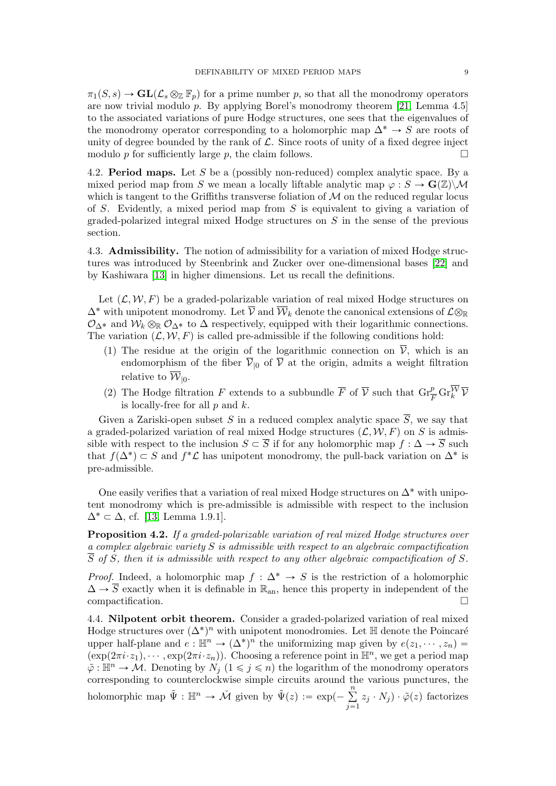$\pi_1(S, s) \to \mathbf{GL}(\mathcal{L}_s \otimes_{\mathbb{Z}} \mathbb{F}_p)$  for a prime number p, so that all the monodromy operators are now trivial modulo  $p$ . By applying Borel's monodromy theorem [\[21,](#page-14-14) Lemma 4.5] to the associated variations of pure Hodge structures, one sees that the eigenvalues of the monodromy operator corresponding to a holomorphic map  $\Delta^* \to S$  are roots of unity of degree bounded by the rank of  $\mathcal L$ . Since roots of unity of a fixed degree inject modulo p for sufficiently large p, the claim follows.

4.2. **Period maps.** Let S be a (possibly non-reduced) complex analytic space. By a mixed period map from S we mean a locally liftable analytic map  $\varphi : S \to \mathbf{G}(\mathbb{Z}) \backslash \mathcal{M}$ which is tangent to the Griffiths transverse foliation of  $\mathcal M$  on the reduced regular locus of S. Evidently, a mixed period map from  $S$  is equivalent to giving a variation of graded-polarized integral mixed Hodge structures on S in the sense of the previous section.

4.3. Admissibility. The notion of admissibility for a variation of mixed Hodge structures was introduced by Steenbrink and Zucker over one-dimensional bases [\[22\]](#page-15-1) and by Kashiwara [\[13\]](#page-14-15) in higher dimensions. Let us recall the definitions.

Let  $(\mathcal{L}, \mathcal{W}, F)$  be a graded-polarizable variation of real mixed Hodge structures on  $\Delta^*$  with unipotent monodromy. Let  $\overline{\mathcal{V}}$  and  $\overline{\mathcal{W}}_k$  denote the canonical extensions of  $\mathcal{L}\otimes_{\mathbb{R}}$  $\mathcal{O}_{\Delta^*}$  and  $\mathcal{W}_k \otimes_{\mathbb{R}} \mathcal{O}_{\Delta^*}$  to  $\Delta$  respectively, equipped with their logarithmic connections. The variation  $(L, W, F)$  is called pre-admissible if the following conditions hold:

- (1) The residue at the origin of the logarithmic connection on  $\overline{V}$ , which is an endomorphism of the fiber  $\overline{\mathcal{V}}_{0}$  of  $\overline{\mathcal{V}}$  at the origin, admits a weight filtration relative to  $\mathcal{W}_{\vert 0}$ .
- (2) The Hodge filtration F extends to a subbundle  $\overline{F}$  of  $\overline{V}$  such that  $\operatorname{Gr}_{\overline{F}}^p \operatorname{Gr}_{k}^{\overline{W}} \overline{V}$ is locally-free for all  $p$  and  $k$ .

Given a Zariski-open subset S in a reduced complex analytic space  $\overline{S}$ , we say that a graded-polarized variation of real mixed Hodge structures  $(L, W, F)$  on S is admissible with respect to the inclusion  $S \subset \overline{S}$  if for any holomorphic map  $f : \Delta \to \overline{S}$  such that  $f(\Delta^*) \subset S$  and  $f^* \mathcal{L}$  has unipotent monodromy, the pull-back variation on  $\Delta^*$  is pre-admissible.

One easily verifies that a variation of real mixed Hodge structures on  $\Delta^*$  with unipotent monodromy which is pre-admissible is admissible with respect to the inclusion  $\Delta^* \subset \Delta$ , cf. [\[13,](#page-14-15) Lemma 1.9.1].

Proposition 4.2. If a graded-polarizable variation of real mixed Hodge structures over a complex algebraic variety  $S$  is admissible with respect to an algebraic compactification  $\overline{S}$  of S, then it is admissible with respect to any other algebraic compactification of S.

*Proof.* Indeed, a holomorphic map  $f : \Delta^* \to S$  is the restriction of a holomorphic  $\Delta \rightarrow \overline{S}$  exactly when it is definable in  $\mathbb{R}_{an}$ , hence this property in independent of the compactification.

4.4. Nilpotent orbit theorem. Consider a graded-polarized variation of real mixed Hodge structures over  $(\Delta^*)^n$  with unipotent monodromies. Let H denote the Poincaré upper half-plane and  $e: \mathbb{H}^n \to (\Delta^*)^n$  the uniformizing map given by  $e(z_1, \dots, z_n) =$  $(\exp(2\pi i \cdot z_1), \cdots, \exp(2\pi i \cdot z_n)).$  Choosing a reference point in  $\mathbb{H}^n$ , we get a period map  $\tilde{\varphi} : \mathbb{H}^n \to \mathcal{M}$ . Denoting by  $N_j$   $(1 \leq j \leq n)$  the logarithm of the monodromy operators corresponding to counterclockwise simple circuits around the various punctures, the holomorphic map  $\tilde{\Psi} : \mathbb{H}^n \to \tilde{\mathcal{M}}$  given by  $\tilde{\Psi}(z) := \exp(-\sum_{n=1}^{\infty}$  $j=1$  $z_j \cdot N_j$ )  $\cdot \tilde{\varphi}(z)$  factorizes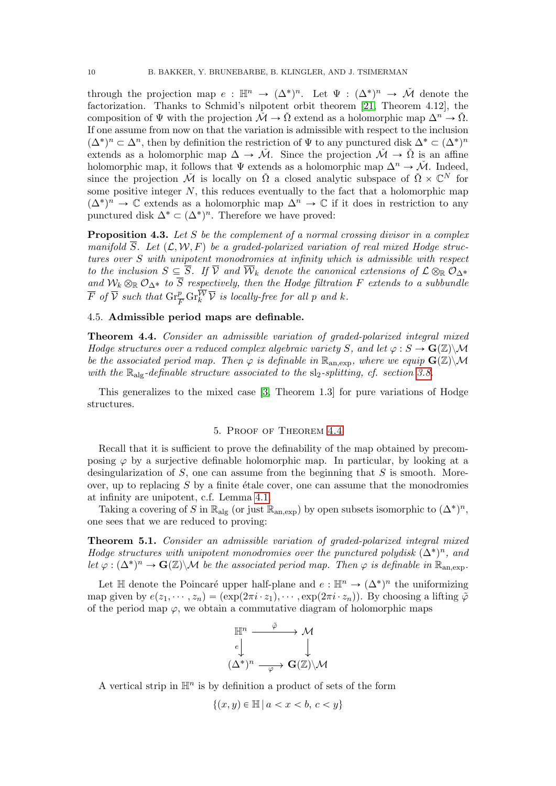through the projection map  $e : \mathbb{H}^n \to (\Delta^*)^n$ . Let  $\Psi : (\Delta^*)^n \to \tilde{\mathcal{M}}$  denote the factorization. Thanks to Schmid's nilpotent orbit theorem [\[21,](#page-14-14) Theorem 4.12], the composition of  $\Psi$  with the projection  $\check{\mathcal{M}} \to \check{\Omega}$  extend as a holomorphic map  $\Delta^n \to \check{\Omega}$ . If one assume from now on that the variation is admissible with respect to the inclusion  $(\Delta^*)^n \subset \Delta^n$ , then by definition the restriction of  $\Psi$  to any punctured disk  $\Delta^* \subset (\Delta^*)^n$ extends as a holomorphic map  $\Delta \rightarrow \tilde{\mathcal{M}}$ . Since the projection  $\tilde{\mathcal{M}} \rightarrow \tilde{\Omega}$  is an affine holomorphic map, it follows that  $\Psi$  extends as a holomorphic map  $\Delta^n \to \check{\mathcal{M}}$ . Indeed, since the projection  $\check{\mathcal{M}}$  is locally on  $\check{\Omega}$  a closed analytic subspace of  $\check{\Omega} \times \mathbb{C}^N$  for some positive integer  $N$ , this reduces eventually to the fact that a holomorphic map  $(\Delta^*)^n \to \mathbb{C}$  extends as a holomorphic map  $\Delta^n \to \mathbb{C}$  if it does in restriction to any punctured disk  $\Delta^* \subset (\Delta^*)^n$ . Therefore we have proved:

<span id="page-9-1"></span>**Proposition 4.3.** Let S be the complement of a normal crossing divisor in a complex manifold  $\overline{S}$ . Let  $(\mathcal{L}, \mathcal{W}, F)$  be a graded-polarized variation of real mixed Hodge structures over S with unipotent monodromies at infinity which is admissible with respect to the inclusion  $S \subseteq \overline{S}$ . If  $\overline{V}$  and  $\overline{W}_k$  denote the canonical extensions of  $\mathcal{L} \otimes_{\mathbb{R}} \mathcal{O}_{\Delta^*}$ and  $W_k \otimes_{\mathbb{R}} \mathcal{O}_{\Delta^*}$  to S respectively, then the Hodge filtration F extends to a subbundle  $\overline{F}$  of  $\overline{V}$  such that  $\mathrm{Gr}_{\overline{F}}^p \mathrm{Gr}_{k}^{\overline{\mathcal{W}}} \overline{\mathcal{V}}$  is locally-free for all p and k.

# 4.5. Admissible period maps are definable.

<span id="page-9-0"></span>Theorem 4.4. Consider an admissible variation of graded-polarized integral mixed Hodge structures over a reduced complex algebraic variety S, and let  $\varphi : S \to \mathbf{G}(\mathbb{Z})\backslash \mathcal{M}$ be the associated period map. Then  $\varphi$  is definable in  $\mathbb{R}_{\text{an,exp}}$ , where we equip  $\mathbf{G}(\mathbb{Z})\backslash\mathcal{M}$ with the  $\mathbb{R}_{\text{alg}}$ -definable structure associated to the sl<sub>2</sub>-splitting, cf. section [3.8.](#page-7-1)

This generalizes to the mixed case [\[3,](#page-14-0) Theorem 1.3] for pure variations of Hodge structures.

### 5. Proof of Theorem [4.4](#page-9-0)

Recall that it is sufficient to prove the definability of the map obtained by precomposing  $\varphi$  by a surjective definable holomorphic map. In particular, by looking at a desingularization of  $S$ , one can assume from the beginning that  $S$  is smooth. Moreover, up to replacing  $S$  by a finite étale cover, one can assume that the monodromies at infinity are unipotent, c.f. Lemma [4.1.](#page-7-2)

Taking a covering of S in  $\mathbb{R}_{\text{alg}}$  (or just  $\mathbb{R}_{\text{an,exp}}$ ) by open subsets isomorphic to  $(\Delta^*)^n$ , one sees that we are reduced to proving:

Theorem 5.1. Consider an admissible variation of graded-polarized integral mixed Hodge structures with unipotent monodromies over the punctured polydisk  $(\Delta^*)^n$ , and let  $\varphi : (\Delta^*)^n \to \mathbf{G}(\mathbb{Z}) \backslash \mathcal{M}$  be the associated period map. Then  $\varphi$  is definable in  $\mathbb{R}_{\text{an,exp}}$ .

Let  $\mathbb H$  denote the Poincaré upper half-plane and  $e : \mathbb H^n \to (\Delta^*)^n$  the uniformizing map given by  $e(z_1, \dots, z_n) = (\exp(2\pi i \cdot z_1), \dots, \exp(2\pi i \cdot z_n))$ . By choosing a lifting  $\tilde{\varphi}$ of the period map  $\varphi$ , we obtain a commutative diagram of holomorphic maps

$$
\mathbb{H}^n \xrightarrow{\tilde{\varphi}} \mathcal{M}
$$
\n
$$
\downarrow^{\ell} \qquad \qquad \downarrow^{\ell}
$$
\n
$$
(\Delta^*)^n \xrightarrow{\varphi} \mathbf{G}(\mathbb{Z}) \setminus \mathcal{M}
$$

A vertical strip in  $\mathbb{H}^n$  is by definition a product of sets of the form

$$
\{(x, y) \in \mathbb{H} \mid a < x < b, \, c < y\}
$$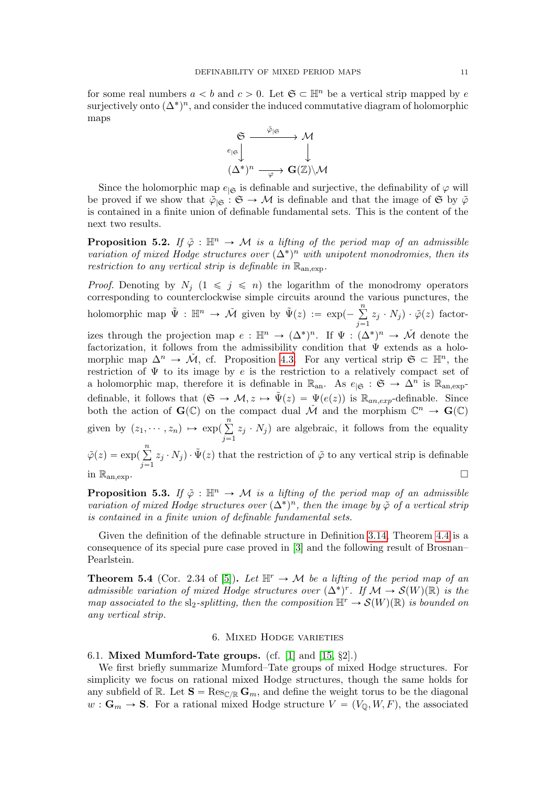for some real numbers  $a < b$  and  $c > 0$ . Let  $\mathfrak{S} \subset \mathbb{H}^n$  be a vertical strip mapped by e surjectively onto  $(\Delta^*)^n$ , and consider the induced commutative diagram of holomorphic maps



Since the holomorphic map  $e_{|\mathfrak{S}}$  is definable and surjective, the definability of  $\varphi$  will be proved if we show that  $\tilde{\varphi}_{|\mathfrak{S}} : \mathfrak{S} \to \mathcal{M}$  is definable and that the image of  $\mathfrak{S}$  by  $\tilde{\varphi}$ is contained in a finite union of definable fundamental sets. This is the content of the next two results.

**Proposition 5.2.** If  $\tilde{\varphi}$  :  $\mathbb{H}^n \to \mathcal{M}$  is a lifting of the period map of an admissible variation of mixed Hodge structures over  $(\Delta^*)^n$  with unipotent monodromies, then its restriction to any vertical strip is definable in  $\mathbb{R}_{an,exp}$ .

*Proof.* Denoting by  $N_j$   $(1 \leq j \leq n)$  the logarithm of the monodromy operators corresponding to counterclockwise simple circuits around the various punctures, the holomorphic map  $\tilde{\Psi} : \mathbb{H}^n \to \tilde{\mathcal{M}}$  given by  $\tilde{\Psi}(z) := \exp(-\sum_{n=1}^{\infty}$  $j=1$  $(z_j \cdot N_j) \cdot \tilde{\varphi}(z)$  factorizes through the projection map  $e : \mathbb{H}^n \to (\Delta^*)^n$ . If  $\Psi : (\Delta^*)^n \to \tilde{\mathcal{M}}$  denote the factorization, it follows from the admissibility condition that  $\Psi$  extends as a holomorphic map  $\Delta^n \to \tilde{\mathcal{M}}$ , cf. Proposition [4.3.](#page-9-1) For any vertical strip  $\mathfrak{S} \subset \mathbb{H}^n$ , the restriction of  $\Psi$  to its image by e is the restriction to a relatively compact set of a holomorphic map, therefore it is definable in  $\mathbb{R}_{\text{an}}$ . As  $e_{|\mathfrak{S}} : \mathfrak{S} \to \Delta^n$  is  $\mathbb{R}_{\text{an,exp}}$ definable, it follows that  $(\mathfrak{S} \to \mathcal{M}, z \mapsto \tilde{\Psi}(z) = \Psi(e(z))$  is  $\mathbb{R}_{an,exp}$ -definable. Since both the action of  $\mathbf{G}(\mathbb{C})$  on the compact dual  $\check{\mathcal{M}}$  and the morphism  $\mathbb{C}^n \to \mathbf{G}(\mathbb{C})$ given by  $(z_1, \dots, z_n) \mapsto \exp(x)$  $\frac{n}{n}$  $j=1$  $z_j \cdot N_j$ ) are algebraic, it follows from the equality  $\tilde{\varphi}(z) = \exp(\frac{z}{\sqrt{2}})$  $\overline{n}$  $j=1$  $z_j \cdot N_j$ )  $\cdot \tilde{\Psi}(z)$  that the restriction of  $\tilde{\varphi}$  to any vertical strip is definable in  $\mathbb{R}_{\text{an,exp}}$ .

**Proposition 5.3.** If  $\tilde{\varphi}$  :  $\mathbb{H}^n \to \mathcal{M}$  is a lifting of the period map of an admissible variation of mixed Hodge structures over  $(\Delta^*)^n$ , then the image by  $\tilde{\varphi}$  of a vertical strip is contained in a finite union of definable fundamental sets.

Given the definition of the definable structure in Definition [3.14,](#page-7-3) Theorem [4.4](#page-9-0) is a consequence of its special pure case proved in [\[3\]](#page-14-0) and the following result of Brosnan– Pearlstein.

**Theorem 5.4** (Cor. 2.34 of [\[5\]](#page-14-3)). Let  $\mathbb{H}^r \to \mathcal{M}$  be a lifting of the period map of an admissible variation of mixed Hodge structures over  $(\Delta^*)^r$ . If  $\mathcal{M} \to \mathcal{S}(W)(\mathbb{R})$  is the map associated to the sl<sub>2</sub>-splitting, then the composition  $\mathbb{H}^r \to \mathcal{S}(W)(\mathbb{R})$  is bounded on any vertical strip.

# 6. Mixed Hodge varieties

6.1. Mixed Mumford-Tate groups. (cf. [\[1\]](#page-14-16) and  $[15, §2]$ .)

We first briefly summarize Mumford–Tate groups of mixed Hodge structures. For simplicity we focus on rational mixed Hodge structures, though the same holds for any subfield of R. Let  $S = \text{Res}_{\mathbb{C}/\mathbb{R}} \mathbb{G}_m$ , and define the weight torus to be the diagonal  $w : \mathbf{G}_m \to \mathbf{S}$ . For a rational mixed Hodge structure  $V = (V_{\mathbb{Q}}, W, F)$ , the associated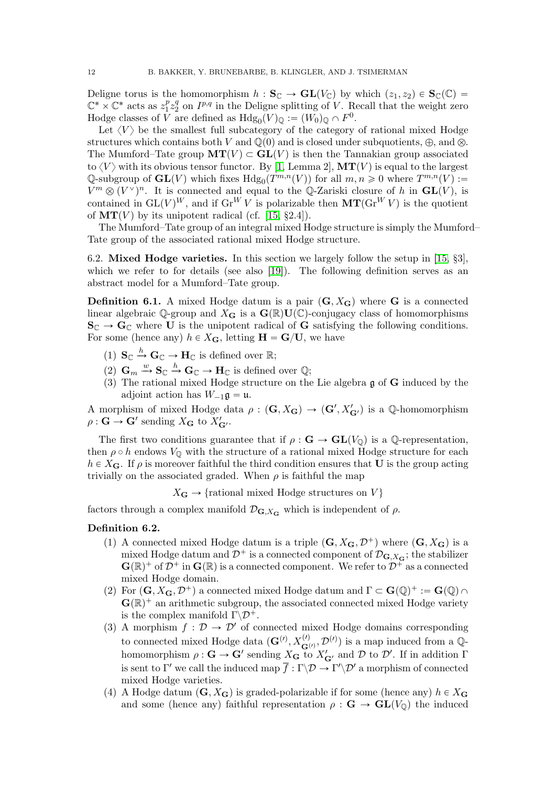Deligne torus is the homomorphism  $h : S_{\mathbb{C}} \to GL(V_{\mathbb{C}})$  by which  $(z_1, z_2) \in S_{\mathbb{C}}(\mathbb{C}) =$  $\mathbb{C}^* \times \mathbb{C}^*$  acts as  $z_1^p$  $\frac{p}{1}z_2^q$  $_2^q$  on  $I^{p,q}$  in the Deligne splitting of V. Recall that the weight zero Hodge classes of V are defined as  $Hdg_0(V)_{\mathbb{Q}} := (W_0)_{\mathbb{Q}} \cap F^0$ .

Let  $\langle V \rangle$  be the smallest full subcategory of the category of rational mixed Hodge structures which contains both V and  $\mathbb{Q}(0)$  and is closed under subquotients,  $\oplus$ , and  $\otimes$ . The Mumford–Tate group  $MT(V) \subset GL(V)$  is then the Tannakian group associated to  $\langle V \rangle$  with its obvious tensor functor. By [\[1,](#page-14-16) Lemma 2],  $MT(V)$  is equal to the largest Q-subgroup of  $\mathbf{GL}(V)$  which fixes  $\text{Hdg}_0(T^{m,n}(V))$  for all  $m, n \geq 0$  where  $T^{m,n}(V)$  :=  $V^m \otimes (V^{\vee})^n$ . It is connected and equal to the Q-Zariski closure of h in  $\mathbf{GL}(V)$ , is contained in  $GL(V)^W$ , and if  $Gr^W V$  is polarizable then  $MT(Gr^W V)$  is the quotient of  $MT(V)$  by its unipotent radical (cf. [\[15,](#page-14-17) §2.4]).

The Mumford–Tate group of an integral mixed Hodge structure is simply the Mumford– Tate group of the associated rational mixed Hodge structure.

6.2. Mixed Hodge varieties. In this section we largely follow the setup in [\[15,](#page-14-17) §3], which we refer to for details (see also [\[19\]](#page-14-18)). The following definition serves as an abstract model for a Mumford–Tate group.

**Definition 6.1.** A mixed Hodge datum is a pair  $(G, X_G)$  where G is a connected linear algebraic Q-group and  $X_G$  is a  $\mathbf{G}(\mathbb{R})\mathbf{U}(\mathbb{C})$ -conjugacy class of homomorphisms  $S_{\mathbb{C}} \to G_{\mathbb{C}}$  where U is the unipotent radical of G satisfying the following conditions. For some (hence any)  $h \in X_{\mathbf{G}}$ , letting  $\mathbf{H} = \mathbf{G}/\mathbf{U}$ , we have

- (1)  $\mathbf{S}_{\mathbb{C}} \xrightarrow{h} \mathbf{G}_{\mathbb{C}} \to \mathbf{H}_{\mathbb{C}}$  is defined over  $\mathbb{R}$ ;
- (2)  $\mathbf{G}_m \stackrel{w}{\rightarrow} \mathbf{S}_{\mathbb{C}} \stackrel{h}{\rightarrow} \mathbf{G}_{\mathbb{C}} \rightarrow \mathbf{H}_{\mathbb{C}}$  is defined over  $\mathbb{Q}$ ;
- (3) The rational mixed Hodge structure on the Lie algebra g of G induced by the adjoint action has  $W_{-1}\mathfrak{g} = \mathfrak{u}$ .

A morphism of mixed Hodge data  $\rho : (\mathbf{G}, X_{\mathbf{G}}) \to (\mathbf{G}', X'_{\mathbf{G'}})$  is a Q-homomorphism  $\rho : \mathbf{G} \to \mathbf{G}'$  sending  $X_{\mathbf{G}}$  to  $X'_{\mathbf{G}'}$ .

The first two conditions guarantee that if  $\rho : \mathbf{G} \to \mathbf{GL}(V_{\mathbb{Q}})$  is a Q-representation, then  $\rho \circ h$  endows  $V_0$  with the structure of a rational mixed Hodge structure for each  $h \in X_{\mathbf{G}}$ . If  $\rho$  is moreover faithful the third condition ensures that **U** is the group acting trivially on the associated graded. When  $\rho$  is faithful the map

 $X_{\mathbf{G}} \to \{\text{rational mixed Hodge structures on } V\}$ 

factors through a complex manifold  $\mathcal{D}_{\mathbf{G},X_{\mathbf{G}}}$  which is independent of  $\rho$ .

#### Definition 6.2.

- (1) A connected mixed Hodge datum is a triple  $(G, X_G, \mathcal{D}^+)$  where  $(G, X_G)$  is a mixed Hodge datum and  $\mathcal{D}^+$  is a connected component of  $\mathcal{D}_{\mathbf{G},X_{\mathbf{G}}};$  the stabilizer  $\mathbf{G}(\mathbb{R})^+$  of  $\mathcal{D}^+$  in  $\mathbf{G}(\mathbb{R})$  is a connected component. We refer to  $\mathcal{D}^+$  as a connected mixed Hodge domain.
- (2) For  $(G, X_G, \mathcal{D}^+)$  a connected mixed Hodge datum and  $\Gamma \subset G(\mathbb{Q})^+ := G(\mathbb{Q}) \cap$  $\mathbf{G}(\mathbb{R})^+$  an arithmetic subgroup, the associated connected mixed Hodge variety is the complex manifold  $\Gamma \backslash \mathcal{D}^+$ .
- (3) A morphism  $f: \mathcal{D} \to \mathcal{D}'$  of connected mixed Hodge domains corresponding to connected mixed Hodge data  $(\mathbf{G}^{(l)}, X_{\mathbf{G}^{(l)}}^{(l)}, \mathcal{D}^{(l)})$  is a map induced from a  $\mathbb{Q}$ homomorphism  $\rho : G \to G'$  sending  $X_G$  to  $X'_{G'}$  and  $D$  to  $\mathcal{D}'$ . If in addition  $\Gamma$ is sent to  $\Gamma'$  we call the induced map  $\overline{f} : \Gamma \backslash \mathcal{D} \to \Gamma' \backslash \mathcal{D}'$  a morphism of connected mixed Hodge varieties.
- (4) A Hodge datum  $(G, X_G)$  is graded-polarizable if for some (hence any)  $h \in X_G$ and some (hence any) faithful representation  $\rho : \mathbf{G} \to \mathbf{GL}(V_0)$  the induced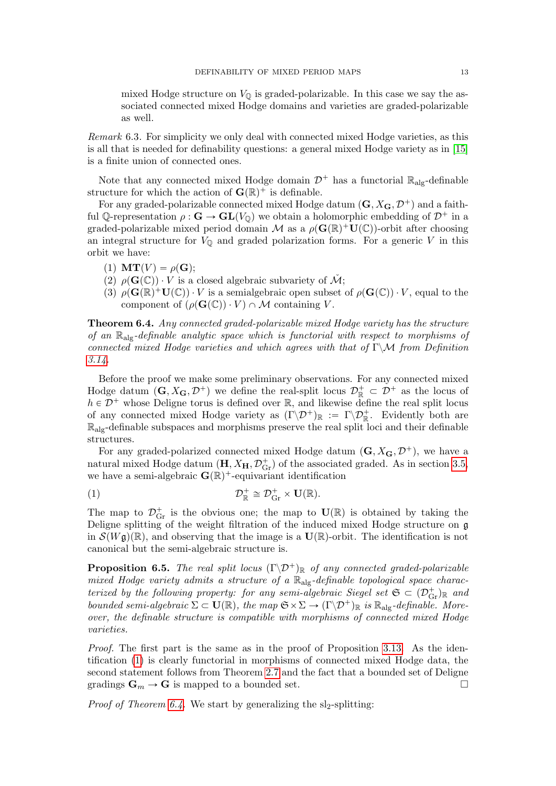mixed Hodge structure on  $V_{\mathbb{Q}}$  is graded-polarizable. In this case we say the associated connected mixed Hodge domains and varieties are graded-polarizable as well.

Remark 6.3. For simplicity we only deal with connected mixed Hodge varieties, as this is all that is needed for definability questions: a general mixed Hodge variety as in [\[15\]](#page-14-17) is a finite union of connected ones.

Note that any connected mixed Hodge domain  $\mathcal{D}^+$  has a functorial  $\mathbb{R}_{\text{ale}}$ -definable structure for which the action of  $\mathbf{G}(\mathbb{R})^+$  is definable.

For any graded-polarizable connected mixed Hodge datum  $(G, X_G, \mathcal{D}^+)$  and a faithful Q-representation  $\rho : \mathbf{G} \to \mathbf{GL}(V_{\mathbb{Q}})$  we obtain a holomorphic embedding of  $\mathcal{D}^+$  in a graded-polarizable mixed period domain M as a  $\rho(\mathbf{G}(\mathbb{R})^+\mathbf{U}(\mathbb{C}))$ -orbit after choosing an integral structure for  $V_{\mathbb{Q}}$  and graded polarization forms. For a generic V in this orbit we have:

- (1)  $MT(V) = \rho(G);$
- (2)  $\rho(\mathbf{G}(\mathbb{C})) \cdot V$  is a closed algebraic subvariety of  $\check{\mathcal{M}}$ ;
- (3)  $\rho(\mathbf{G}(\mathbb{R})^+\mathbf{U}(\mathbb{C})) \cdot V$  is a semialgebraic open subset of  $\rho(\mathbf{G}(\mathbb{C})) \cdot V$ , equal to the component of  $(\rho(\mathbf{G}(\mathbb{C})) \cdot V) \cap M$  containing V.

<span id="page-12-0"></span>Theorem 6.4. Any connected graded-polarizable mixed Hodge variety has the structure of an  $\mathbb{R}_{\text{alg}}$ -definable analytic space which is functorial with respect to morphisms of connected mixed Hodge varieties and which agrees with that of Γ $\mathcal{N}$  from Definition  $3.14.$ 

Before the proof we make some preliminary observations. For any connected mixed Hodge datum  $(G, X_G, \mathcal{D}^+)$  we define the real-split locus  $\mathcal{D}^+_{\mathbb{R}} \subset \mathcal{D}^+$  as the locus of  $h\in \mathcal{D}^+$  whose Deligne torus is defined over  $\mathbb{R},$  and likewise define the real split locus of any connected mixed Hodge variety as  $(\Gamma \backslash \mathcal{D}^+)_{\mathbb{R}} := \Gamma \backslash \mathcal{D}^+_{\mathbb{R}}$ . Evidently both are  $\mathbb{R}_{\text{alg}}$ -definable subspaces and morphisms preserve the real split loci and their definable structures.

For any graded-polarized connected mixed Hodge datum  $(G, X_G, \mathcal{D}^+)$ , we have a natural mixed Hodge datum  $(\mathbf{H}, X_{\mathbf{H}}, \mathcal{D}_{\text{Gr}}^+)$  of the associated graded. As in section [3.5,](#page-5-0) we have a semi-algebraic  $\mathbf{G}(\mathbb{R})^+$ -equivariant identification

<span id="page-12-1"></span>(1) 
$$
\mathcal{D}_{\mathbb{R}}^+ \cong \mathcal{D}_{\text{Gr}}^+ \times \mathbf{U}(\mathbb{R}).
$$

The map to  $\mathcal{D}_{\text{Gr}}^+$  is the obvious one; the map to  $\mathbf{U}(\mathbb{R})$  is obtained by taking the Deligne splitting of the weight filtration of the induced mixed Hodge structure on g in  $\mathcal{S}(W\mathfrak{g})(\mathbb{R})$ , and observing that the image is a  $\mathbf{U}(\mathbb{R})$ -orbit. The identification is not canonical but the semi-algebraic structure is.

**Proposition 6.5.** The real split locus  $(\Gamma \backslash \mathcal{D}^+)_{\mathbb{R}}$  of any connected graded-polarizable mixed Hodge variety admits a structure of a  $\mathbb{R}_{\text{alg}}$ -definable topological space characterized by the following property: for any semi-algebraic Siegel set  $\mathfrak{S} \subset (\mathcal{D}_{\rm Gr}^+)_{\mathbb{R}}$  and bounded semi-algebraic  $\Sigma \subset \mathbf{U}(\mathbb{R})$ , the map  $\mathfrak{S} \times \Sigma \to (\Gamma \backslash \mathcal{D}^+)_{\mathbb{R}}$  is  $\mathbb{R}_{\text{alg}}$ -definable. Moreover, the definable structure is compatible with morphisms of connected mixed Hodge varieties.

Proof. The first part is the same as in the proof of Proposition [3.13.](#page-7-4) As the identification [\(1\)](#page-12-1) is clearly functorial in morphisms of connected mixed Hodge data, the second statement follows from Theorem [2.7](#page-2-2) and the fact that a bounded set of Deligne gradings  $\mathbf{G}_m \to \mathbf{G}$  is mapped to a bounded set.

*Proof of Theorem [6.4.](#page-12-0)* We start by generalizing the sl<sub>2</sub>-splitting: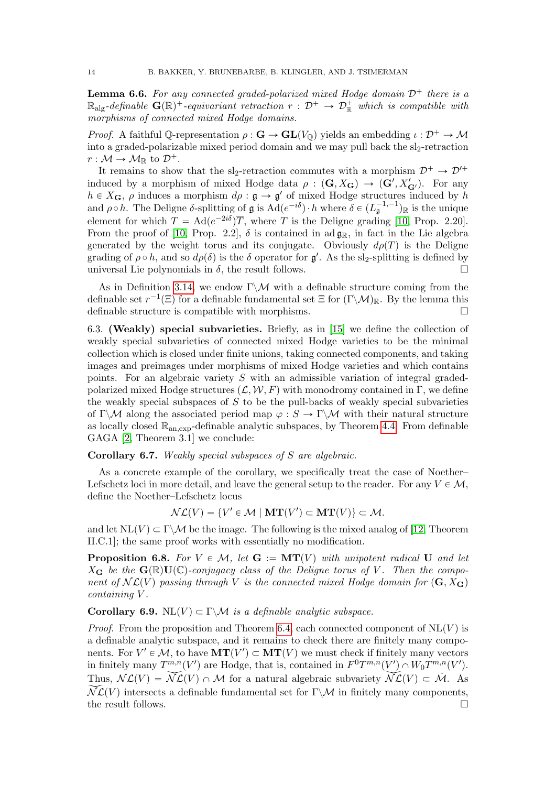**Lemma 6.6.** For any connected graded-polarized mixed Hodge domain  $\mathcal{D}^+$  there is a  $\mathbb{R}_{\text{alg}}$ -definable  $\mathbf{G}(\mathbb{R})^+$ -equivariant retraction  $r : \mathcal{D}^+ \to \mathcal{D}_{\mathbb{R}}^+$  which is compatible with morphisms of connected mixed Hodge domains.

*Proof.* A faithful Q-representation  $\rho : \mathbf{G} \to \mathbf{GL}(V_0)$  yields an embedding  $\iota : \mathcal{D}^+ \to \mathcal{M}$ into a graded-polarizable mixed period domain and we may pull back the  $sl_2$ -retraction  $r : \mathcal{M} \to \mathcal{M}_{\mathbb{R}}$  to  $\mathcal{D}^+$ .

It remains to show that the sl<sub>2</sub>-retraction commutes with a morphism  $\mathcal{D}^+ \to \mathcal{D}'^+$ induced by a morphism of mixed Hodge data  $\rho : (\mathbf{G}, X_{\mathbf{G}}) \to (\mathbf{G}', X'_{\mathbf{G'}})$ . For any  $h \in X_{\mathbf{G}}, \rho$  induces a morphism  $d\rho : \mathfrak{g} \to \mathfrak{g}'$  of mixed Hodge structures induced by h and  $\rho \circ h$ . The Deligne  $\delta$ -splitting of  $\mathfrak g$  is  $\text{Ad}(e^{-i\delta}) \cdot h$  where  $\delta \in (L_{\mathfrak g}^{-1,-1})_{\mathbb R}$  is the unique element for which  $T = \text{Ad}(e^{-2i\delta})\overline{T}$ , where T is the Deligne grading [\[10,](#page-14-9) Prop. 2.20]. From the proof of [\[10,](#page-14-9) Prop. 2.2],  $\delta$  is contained in ad  $\mathfrak{g}_{\mathbb{R}}$ , in fact in the Lie algebra generated by the weight torus and its conjugate. Obviously  $d\rho(T)$  is the Deligne grading of  $\rho \circ h$ , and so  $d\rho(\delta)$  is the  $\delta$  operator for  $\mathfrak{g}'$ . As the sl<sub>2</sub>-splitting is defined by universal Lie polynomials in  $\delta$ , the result follows.

As in Definition [3.14,](#page-7-3) we endow  $\Gamma \backslash \mathcal{M}$  with a definable structure coming from the definable set  $r^{-1}(\Xi)$  for a definable fundamental set  $\Xi$  for  $(\Gamma \backslash \mathcal{M})_{\mathbb{R}}$ . By the lemma this definable structure is compatible with morphisms.

6.3. (Weakly) special subvarieties. Briefly, as in [\[15\]](#page-14-17) we define the collection of weakly special subvarieties of connected mixed Hodge varieties to be the minimal collection which is closed under finite unions, taking connected components, and taking images and preimages under morphisms of mixed Hodge varieties and which contains points. For an algebraic variety S with an admissible variation of integral gradedpolarized mixed Hodge structures  $(\mathcal{L}, \mathcal{W}, F)$  with monodromy contained in Γ, we define the weakly special subspaces of  $S$  to be the pull-backs of weakly special subvarieties of Γ $\mathcal{M}$  along the associated period map  $\varphi : S \to \Gamma \backslash \mathcal{M}$  with their natural structure as locally closed  $\mathbb{R}_{an,exp}$ -definable analytic subspaces, by Theorem [4.4.](#page-9-0) From definable GAGA [\[2,](#page-14-1) Theorem 3.1] we conclude:

Corollary 6.7. Weakly special subspaces of S are algebraic.

As a concrete example of the corollary, we specifically treat the case of Noether– Lefschetz loci in more detail, and leave the general setup to the reader. For any  $V \in \mathcal{M}$ , define the Noether–Lefschetz locus

$$
\mathcal{NL}(V) = \{V' \in \mathcal{M} \mid \mathbf{MT}(V') \subset \mathbf{MT}(V)\} \subset \mathcal{M}.
$$

and let  $NL(V) \subset \Gamma \backslash \mathcal{M}$  be the image. The following is the mixed analog of [\[12,](#page-14-19) Theorem II.C.1]; the same proof works with essentially no modification.

**Proposition 6.8.** For  $V \in \mathcal{M}$ , let  $G := \mathbf{MT}(V)$  with unipotent radical U and let  $X_G$  be the  $\mathbf{G}(\mathbb{R})\mathbf{U}(\mathbb{C})$ -conjugacy class of the Deligne torus of V. Then the component of  $N\mathcal{L}(V)$  passing through V is the connected mixed Hodge domain for  $(G, X_G)$ containing V .

Corollary 6.9. NL $(V) \subset \Gamma \backslash \mathcal{M}$  is a definable analytic subspace.

*Proof.* From the proposition and Theorem [6.4,](#page-12-0) each connected component of  $\text{NL}(V)$  is a definable analytic subspace, and it remains to check there are finitely many components. For  $V' \in \mathcal{M}$ , to have  $\mathbf{MT}(V') \subset \mathbf{MT}(V)$  we must check if finitely many vectors in finitely many  $T^{m,n}(V')$  are Hodge, that is, contained in  $F^0T^{m,n}(V') \cap W_0T^{m,n}(V')$ . Thus,  $\mathcal{NL}(V) = \widetilde{\mathcal{NL}}(V) \cap \mathcal{M}$  for a natural algebraic subvariety  $\widetilde{\mathcal{NL}}(V) \subset \widetilde{\mathcal{M}}$ . As  $\widetilde{\mathcal{NL}}(V)$  intersects a definable fundamental set for Γ $\mathcal{M}$  in finitely many components, the result follows.  $\Box$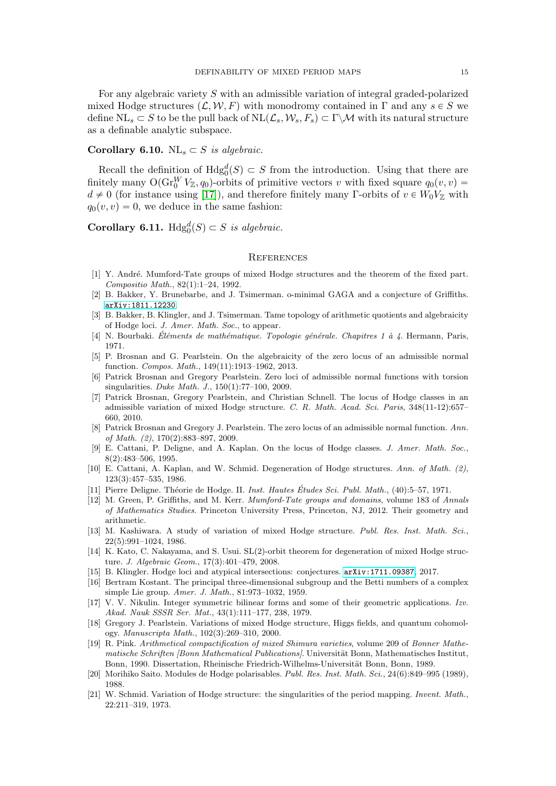For any algebraic variety S with an admissible variation of integral graded-polarized mixed Hodge structures  $(L, W, F)$  with monodromy contained in Γ and any  $s \in S$  we define  $NL_s \subset S$  to be the pull back of  $NL(\mathcal{L}_s, \mathcal{W}_s, F_s) \subset \Gamma \backslash \mathcal{M}$  with its natural structure as a definable analytic subspace.

# Corollary 6.10.  $\text{NL}_s \subset S$  is algebraic.

Recall the definition of  $Hdg_0^d(S) \subset S$  from the introduction. Using that there are finitely many  $O(\text{Gr}_{0}^{W} V_{\mathbb{Z}}, q_{0})$ -orbits of primitive vectors v with fixed square  $q_{0}(v, v)$  =  $d \neq 0$  (for instance using [\[17\]](#page-14-20)), and therefore finitely many Γ-orbits of  $v \in W_0V_\mathbb{Z}$  with  $q_0(v, v) = 0$ , we deduce in the same fashion:

**Corollary 6.11.**  $Hdg_0^d(S) \subset S$  is algebraic.

#### **REFERENCES**

- <span id="page-14-16"></span>[1] Y. Andr´e. Mumford-Tate groups of mixed Hodge structures and the theorem of the fixed part. Compositio Math., 82(1):1–24, 1992.
- <span id="page-14-1"></span>[2] B. Bakker, Y. Brunebarbe, and J. Tsimerman. o-minimal GAGA and a conjecture of Griffiths. [arXiv:1811.12230](http://arxiv.org/abs/1811.12230).
- <span id="page-14-0"></span>[3] B. Bakker, B. Klingler, and J. Tsimerman. Tame topology of arithmetic quotients and algebraicity of Hodge loci. J. Amer. Math. Soc., to appear.
- <span id="page-14-13"></span>[4] N. Bourbaki. Éléments de mathématique. Topologie générale. Chapitres 1 à  $\ddot{4}$ . Hermann, Paris, 1971.
- <span id="page-14-3"></span>[5] P. Brosnan and G. Pearlstein. On the algebraicity of the zero locus of an admissible normal function. Compos. Math., 149(11):1913–1962, 2013.
- <span id="page-14-6"></span>[6] Patrick Brosnan and Gregory Pearlstein. Zero loci of admissible normal functions with torsion singularities. Duke Math. J., 150(1):77–100, 2009.
- <span id="page-14-8"></span>[7] Patrick Brosnan, Gregory Pearlstein, and Christian Schnell. The locus of Hodge classes in an admissible variation of mixed Hodge structure. C. R. Math. Acad. Sci. Paris, 348(11-12):657– 660, 2010.
- <span id="page-14-7"></span>[8] Patrick Brosnan and Gregory J. Pearlstein. The zero locus of an admissible normal function. Ann. of Math. (2), 170(2):883–897, 2009.
- <span id="page-14-5"></span>[9] E. Cattani, P. Deligne, and A. Kaplan. On the locus of Hodge classes. J. Amer. Math. Soc., 8(2):483–506, 1995.
- <span id="page-14-9"></span>[10] E. Cattani, A. Kaplan, and W. Schmid. Degeneration of Hodge structures. Ann. of Math. (2), 123(3):457–535, 1986.
- <span id="page-14-11"></span>[11] Pierre Deligne. Théorie de Hodge. II. Inst. Hautes Études Sci. Publ. Math.,  $(40):5-57$ , 1971.
- <span id="page-14-19"></span>[12] M. Green, P. Griffiths, and M. Kerr. Mumford-Tate groups and domains, volume 183 of Annals of Mathematics Studies. Princeton University Press, Princeton, NJ, 2012. Their geometry and arithmetic.
- <span id="page-14-15"></span>[13] M. Kashiwara. A study of variation of mixed Hodge structure. Publ. Res. Inst. Math. Sci., 22(5):991–1024, 1986.
- <span id="page-14-4"></span>[14] K. Kato, C. Nakayama, and S. Usui.  $SL(2)$ -orbit theorem for degeneration of mixed Hodge structure. J. Algebraic Geom., 17(3):401–479, 2008.
- <span id="page-14-17"></span>[15] B. Klingler. Hodge loci and atypical intersections: conjectures. [arXiv:1711.09387](http://arxiv.org/abs/1711.09387), 2017.
- <span id="page-14-10"></span>[16] Bertram Kostant. The principal three-dimensional subgroup and the Betti numbers of a complex simple Lie group. Amer. J. Math., 81:973–1032, 1959.
- <span id="page-14-20"></span>[17] V. V. Nikulin. Integer symmetric bilinear forms and some of their geometric applications. Izv. Akad. Nauk SSSR Ser. Mat., 43(1):111–177, 238, 1979.
- <span id="page-14-12"></span>[18] Gregory J. Pearlstein. Variations of mixed Hodge structure, Higgs fields, and quantum cohomology. Manuscripta Math., 102(3):269–310, 2000.
- <span id="page-14-18"></span>[19] R. Pink. Arithmetical compactification of mixed Shimura varieties, volume 209 of Bonner Mathematische Schriften [Bonn Mathematical Publications]. Universität Bonn, Mathematisches Institut, Bonn, 1990. Dissertation, Rheinische Friedrich-Wilhelms-Universität Bonn, Bonn, 1989.
- <span id="page-14-2"></span>[20] Morihiko Saito. Modules de Hodge polarisables. Publ. Res. Inst. Math. Sci., 24(6):849–995 (1989), 1988.
- <span id="page-14-14"></span>[21] W. Schmid. Variation of Hodge structure: the singularities of the period mapping. *Invent. Math.*, 22:211–319, 1973.